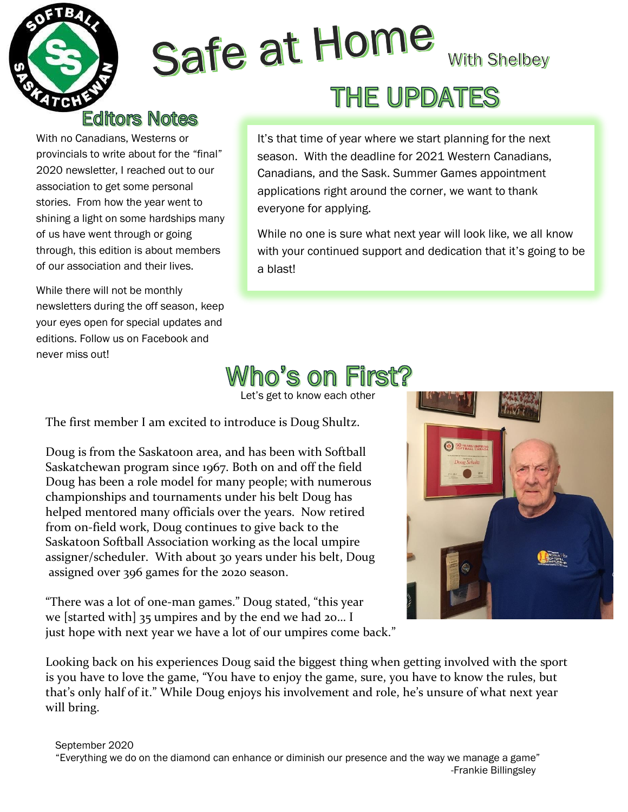

## Safe at Home **With Shelbey** THE UPDATES

#### **Editors Notes**

With no Canadians, Westerns or provincials to write about for the "final" 2020 newsletter, I reached out to our association to get some personal stories. From how the year went to shining a light on some hardships many of us have went through or going through, this edition is about members of our association and their lives.

While there will not be monthly newsletters during the off season, keep your eyes open for special updates and editions. Follow us on Facebook and never miss out!

It's that time of year where we start planning for the next season. With the deadline for 2021 Western Canadians, Canadians, and the Sask. Summer Games appointment applications right around the corner, we want to thank everyone for applying.

While no one is sure what next year will look like, we all know with your continued support and dedication that it's going to be a blast!

#### Vho's on First?

Let's get to know each other

The first member I am excited to introduce is Doug Shultz.

Doug is from the Saskatoon area, and has been with Softball Saskatchewan program since 1967. Both on and off the field Doug has been a role model for many people; with numerous championships and tournaments under his belt Doug has helped mentored many officials over the years. Now retired from on-field work, Doug continues to give back to the Saskatoon Softball Association working as the local umpire assigner/scheduler. With about 30 years under his belt, Doug assigned over 396 games for the 2020 season.

"There was a lot of one-man games." Doug stated, "this year we [started with] 35 umpires and by the end we had 20… I just hope with next year we have a lot of our umpires come back."

Looking back on his experiences Doug said the biggest thing when getting involved with the sport is you have to love the game, "You have to enjoy the game, sure, you have to know the rules, but that's only half of it." While Doug enjoys his involvement and role, he's unsure of what next year will bring.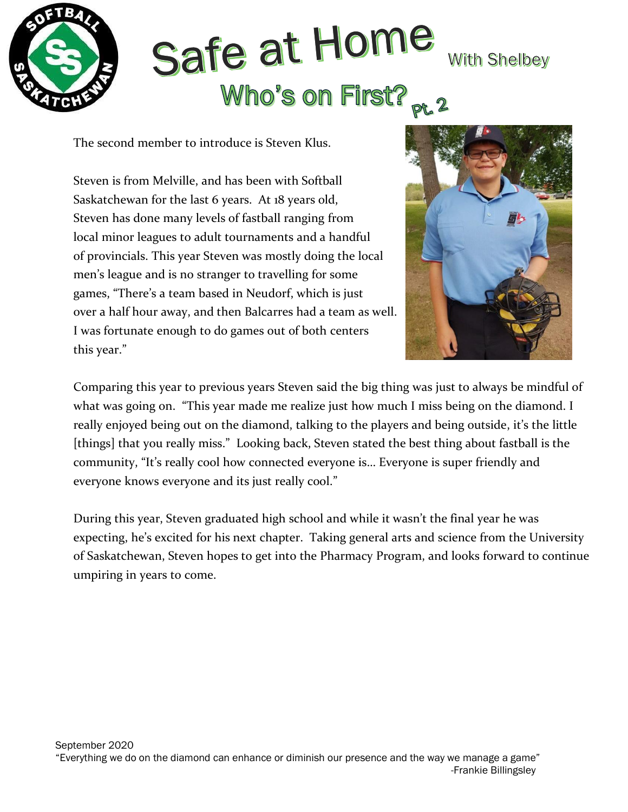

# Safe at Home **With Shelbey** Who's on First?

The second member to introduce is Steven Klus.

Steven is from Melville, and has been with Softball Saskatchewan for the last 6 years. At 18 years old, Steven has done many levels of fastball ranging from local minor leagues to adult tournaments and a handful of provincials. This year Steven was mostly doing the local men's league and is no stranger to travelling for some games, "There's a team based in Neudorf, which is just over a half hour away, and then Balcarres had a team as well. I was fortunate enough to do games out of both centers this year."



Comparing this year to previous years Steven said the big thing was just to always be mindful of what was going on. "This year made me realize just how much I miss being on the diamond. I really enjoyed being out on the diamond, talking to the players and being outside, it's the little [things] that you really miss." Looking back, Steven stated the best thing about fastball is the community, "It's really cool how connected everyone is… Everyone is super friendly and everyone knows everyone and its just really cool."

During this year, Steven graduated high school and while it wasn't the final year he was expecting, he's excited for his next chapter. Taking general arts and science from the University of Saskatchewan, Steven hopes to get into the Pharmacy Program, and looks forward to continue umpiring in years to come.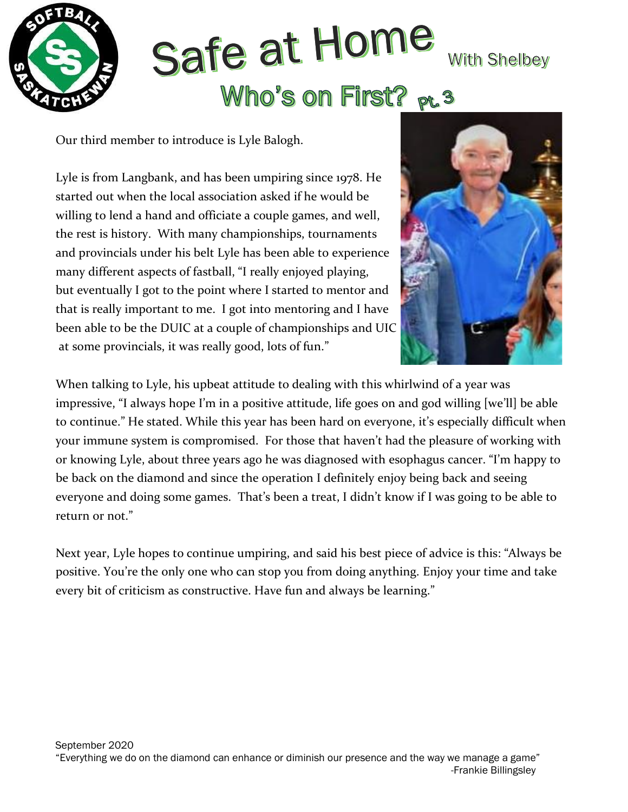

# Safe at Home **With Shelbey** Who's on First? pt. 3

Our third member to introduce is Lyle Balogh.

Lyle is from Langbank, and has been umpiring since 1978. He started out when the local association asked if he would be willing to lend a hand and officiate a couple games, and well, the rest is history. With many championships, tournaments and provincials under his belt Lyle has been able to experience many different aspects of fastball, "I really enjoyed playing, but eventually I got to the point where I started to mentor and that is really important to me. I got into mentoring and I have been able to be the DUIC at a couple of championships and UIC at some provincials, it was really good, lots of fun."



When talking to Lyle, his upbeat attitude to dealing with this whirlwind of a year was impressive, "I always hope I'm in a positive attitude, life goes on and god willing [we'll] be able to continue." He stated. While this year has been hard on everyone, it's especially difficult when your immune system is compromised. For those that haven't had the pleasure of working with or knowing Lyle, about three years ago he was diagnosed with esophagus cancer. "I'm happy to be back on the diamond and since the operation I definitely enjoy being back and seeing everyone and doing some games. That's been a treat, I didn't know if I was going to be able to return or not."

Next year, Lyle hopes to continue umpiring, and said his best piece of advice is this: "Always be positive. You're the only one who can stop you from doing anything. Enjoy your time and take every bit of criticism as constructive. Have fun and always be learning."